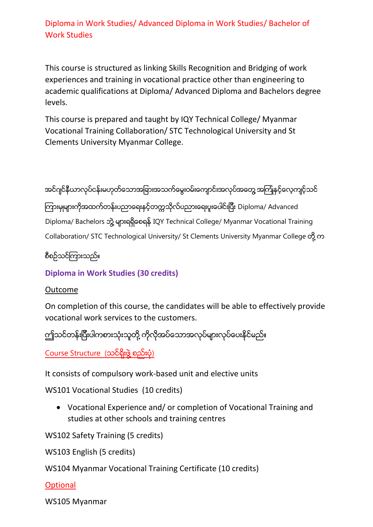Diploma in Work Studies/ Advanced Diploma in Work Studies/ Bachelor of Work Studies

This course is structured as linking Skills Recognition and Bridging of work experiences and training in vocational practice other than engineering to academic qualifications at Diploma/ Advanced Diploma and Bachelors degree levels.

This course is prepared and taught by IQY Technical College/ Myanmar Vocational Training Collaboration/ STC Technological University and St Clements University Myanmar College.

အင်ဂျင်နီယာလုပ်ငန်းမဟုတ်သောအခြားအသက်မွေးဝမ်းကျောင်းအလုပ်အတွေ အကြုံနှင့်လေ့ကျင့်သင်

ကြားမှုများကိုအထက်တန်းပညာရေးနှင့်တက္ကသိုလ်ပညားရေးပူးပေါင်းပြီး Diploma/ Advanced Diploma/ Bachelors ဘွဲ့ များရရှိစေရန် IQY Technical College/ Myanmar Vocational Training Collaboration/ STC Technological University/ St Clements University Myanmar College တို့ က

စီစဥ္သင္ၾကားသည္။

**Diploma in Work Studies (30 credits)**

Outcome

On completion of this course, the candidates will be able to effectively provide vocational work services to the customers.

ဤသင်တန်းပြီးပါကစားသုံးသူတို့ ကိုလိုအပ်သောအလုပ်များလုပ်ပေးနိုင်မည်။

Course Structure (သင်ရိုးဖွဲ့ စည်းပုံ)

It consists of compulsory work-based unit and elective units

WS101 Vocational Studies (10 credits)

• Vocational Experience and/ or completion of Vocational Training and studies at other schools and training centres

WS102 Safety Training (5 credits)

WS103 English (5 credits)

WS104 Myanmar Vocational Training Certificate (10 credits)

**Optional** 

WS105 Myanmar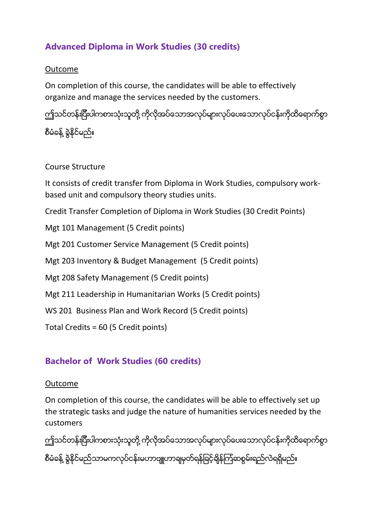# **Advanced Diploma in Work Studies (30 credits)**

## Outcome

On completion of this course, the candidates will be able to effectively organize and manage the services needed by the customers.

ကျ်သင်တန်းပြီးပါကစားသုံးသူတို့ ကိုလိုအပ်သောအလုပ်များလုပ်ပေးသောလုပ်ငန်းကိုထိရောက်စွာ

စီမံခန့် ခွဲနိုင်မည်။

#### Course Structure

It consists of credit transfer from Diploma in Work Studies, compulsory workbased unit and compulsory theory studies units.

Credit Transfer Completion of Diploma in Work Studies (30 Credit Points)

Mgt 101 Management (5 Credit points)

Mgt 201 Customer Service Management (5 Credit points)

Mgt 203 Inventory & Budget Management (5 Credit points)

Mgt 208 Safety Management (5 Credit points)

Mgt 211 Leadership in Humanitarian Works (5 Credit points)

WS 201 Business Plan and Work Record (5 Credit points)

Total Credits = 60 (5 Credit points)

# **Bachelor of Work Studies (60 credits)**

#### Outcome

On completion of this course, the candidates will be able to effectively set up the strategic tasks and judge the nature of humanities services needed by the customers

ဤသင်တန်းပြီးပါကစားသုံးသူတို့ ကိုလိုအပ်သောအလုပ်များလုပ်ပေးသောလုပ်ငန်းကိုထိရောက်စွာ စီမံခန့် ခွဲနိုင်မည်သာမကလုပ်ငန်းမဟာဗျူဟာချမှတ်ရန်ခြင့်ချိန်ကြံဆစွမ်းရည်လဲရရှိမည်။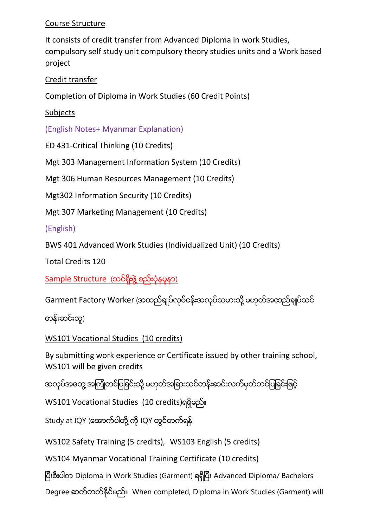## Course Structure

It consists of credit transfer from Advanced Diploma in work Studies, compulsory self study unit compulsory theory studies units and a Work based project

# Credit transfer

Completion of Diploma in Work Studies (60 Credit Points)

**Subjects** 

(English Notes+ Myanmar Explanation)

ED 431-Critical Thinking (10 Credits)

Mgt 303 Management Information System (10 Credits)

Mgt 306 Human Resources Management (10 Credits)

Mgt302 Information Security (10 Credits)

Mgt 307 Marketing Management (10 Credits)

(English)

BWS 401 Advanced Work Studies (Individualized Unit) (10 Credits)

Total Credits 120

Sample Structure (သင်ရိုးဖွဲ့ စည်းပုံနမူနာ)

Garment Factory Worker (အထည်ချုပ်လုပ်ငန်းအလုပ်သမားသို့ မဟုတ်အထည်ချုပ်သင်

တန်းဆင်းသူ)

WS101 Vocational Studies (10 credits)

By submitting work experience or Certificate issued by other training school, WS101 will be given credits

အလုပ်အတွေ့ အကြုံတင်ပြခြင်းသို့ မဟုတ်အခြားသင်တန်းဆင်းလက်မှတ်တင်ပြခြင်းဖြင့်

WS101 Vocational Studies (10 credits)ရရှိမည်။

Study at IQY (အောက်ပါတို့ ကို IQY တွင်တက်ရန်

WS102 Safety Training (5 credits), WS103 English (5 credits)

WS104 Myanmar Vocational Training Certificate (10 credits)

ျပီးစီးပါက Diploma in Work Studies (Garment) ရရ ွျပီး Advanced Diploma/ Bachelors

Degree ဆက်တက်နိုင်မည်။ When completed, Diploma in Work Studies (Garment) will